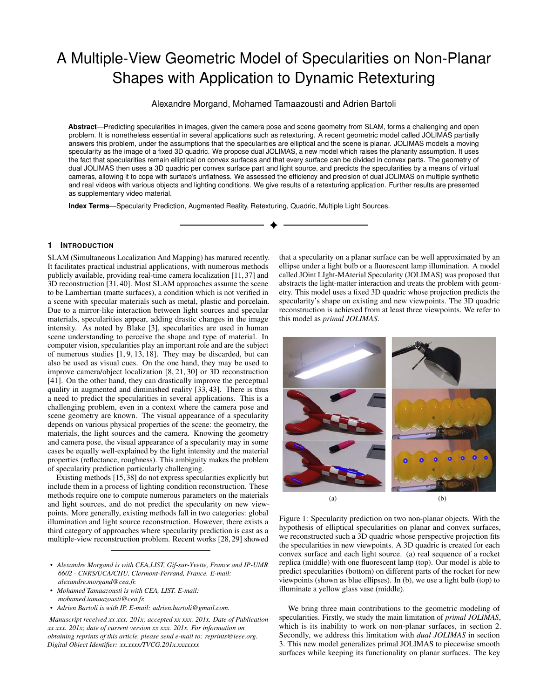# A Multiple-View Geometric Model of Specularities on Non-Planar Shapes with Application to Dynamic Retexturing

Alexandre Morgand, Mohamed Tamaazousti and Adrien Bartoli

**Abstract**—Predicting specularities in images, given the camera pose and scene geometry from SLAM, forms a challenging and open problem. It is nonetheless essential in several applications such as retexturing. A recent geometric model called JOLIMAS partially answers this problem, under the assumptions that the specularities are elliptical and the scene is planar. JOLIMAS models a moving specularity as the image of a fixed 3D quadric. We propose dual JOLIMAS, a new model which raises the planarity assumption. It uses the fact that specularities remain elliptical on convex surfaces and that every surface can be divided in convex parts. The geometry of dual JOLIMAS then uses a 3D quadric per convex surface part and light source, and predicts the specularities by a means of virtual cameras, allowing it to cope with surface's unflatness. We assessed the efficiency and precision of dual JOLIMAS on multiple synthetic and real videos with various objects and lighting conditions. We give results of a retexturing application. Further results are presented as supplementary video material.

**Index Terms**—Specularity Prediction, Augmented Reality, Retexturing, Quadric, Multiple Light Sources.

#### **1 INTRODUCTION**

SLAM (Simultaneous Localization And Mapping) has matured recently. It facilitates practical industrial applications, with numerous methods publicly available, providing real-time camera localization [\[11,](#page-7-0) [37\]](#page-8-0) and 3D reconstruction [\[31,](#page-8-1) [40\]](#page-8-2). Most SLAM approaches assume the scene to be Lambertian (matte surfaces), a condition which is not verified in a scene with specular materials such as metal, plastic and porcelain. Due to a mirror-like interaction between light sources and specular materials, specularities appear, adding drastic changes in the image intensity. As noted by Blake [\[3\]](#page-7-1), specularities are used in human scene understanding to perceive the shape and type of material. In computer vision, specularities play an important role and are the subject of numerous studies [\[1,](#page-7-2) [9,](#page-7-3) [13,](#page-7-4) [18\]](#page-7-5). They may be discarded, but can also be used as visual cues. On the one hand, they may be used to improve camera/object localization [\[8,](#page-7-6) [21,](#page-8-3) [30\]](#page-8-4) or 3D reconstruction [\[41\]](#page-8-5). On the other hand, they can drastically improve the perceptual quality in augmented and diminished reality [\[33,](#page-8-6) [43\]](#page-8-7). There is thus a need to predict the specularities in several applications. This is a challenging problem, even in a context where the camera pose and scene geometry are known. The visual appearance of a specularity depends on various physical properties of the scene: the geometry, the materials, the light sources and the camera. Knowing the geometry and camera pose, the visual appearance of a specularity may in some cases be equally well-explained by the light intensity and the material properties (reflectance, roughness). This ambiguity makes the problem of specularity prediction particularly challenging.

Existing methods [\[15,](#page-7-7) [38\]](#page-8-8) do not express specularities explicitly but include them in a process of lighting condition reconstruction. These methods require one to compute numerous parameters on the materials and light sources, and do not predict the specularity on new viewpoints. More generally, existing methods fall in two categories: global illumination and light source reconstruction. However, there exists a third category of approaches where specularity prediction is cast as a multiple-view reconstruction problem. Recent works [\[28,](#page-8-9) [29\]](#page-8-10) showed

- *• Alexandre Morgand is with CEA,LIST, Gif-sur-Yvette, France and IP-UMR 6602 - CNRS/UCA/CHU, Clermont-Ferrand, France. E-mail: alexandre.morgand@cea.fr.*
- *• Mohamed Tamaazousti is with CEA, LIST. E-mail: mohamed.tamaazousti@cea.fr.*
- *• Adrien Bartoli is with IP. E-mail: adrien.bartoli@gmail.com.*

*Manuscript received xx xxx. 201x; accepted xx xxx. 201x. Date of Publication xx xxx. 201x; date of current version xx xxx. 201x. For information on obtaining reprints of this article, please send e-mail to: reprints@ieee.org. Digital Object Identifier: xx.xxxx/TVCG.201x.xxxxxxx*

that a specularity on a planar surface can be well approximated by an ellipse under a light bulb or a fluorescent lamp illumination. A model called JOint LIght-MAterial Specularity (JOLIMAS) was proposed that abstracts the light-matter interaction and treats the problem with geometry. This model uses a fixed 3D quadric whose projection predicts the specularity's shape on existing and new viewpoints. The 3D quadric reconstruction is achieved from at least three viewpoints. We refer to this model as *primal JOLIMAS*.

<span id="page-0-0"></span>

Figure 1: Specularity prediction on two non-planar objects. With the hypothesis of elliptical specularities on planar and convex surfaces, we reconstructed such a 3D quadric whose perspective projection fits the specularities in new viewpoints. A 3D quadric is created for each convex surface and each light source. (a) real sequence of a rocket replica (middle) with one fluorescent lamp (top). Our model is able to predict specularities (bottom) on different parts of the rocket for new viewpoints (shown as blue ellipses). In (b), we use a light bulb (top) to illuminate a yellow glass vase (middle).

We bring three main contributions to the geometric modeling of specularities. Firstly, we study the main limitation of *primal JOLIMAS*, which is its inability to work on non-planar surfaces, in section [2.](#page-1-0) Secondly, we address this limitation with *dual JOLIMAS* in section [3.](#page-1-1) This new model generalizes primal JOLIMAS to piecewise smooth surfaces while keeping its functionality on planar surfaces. The key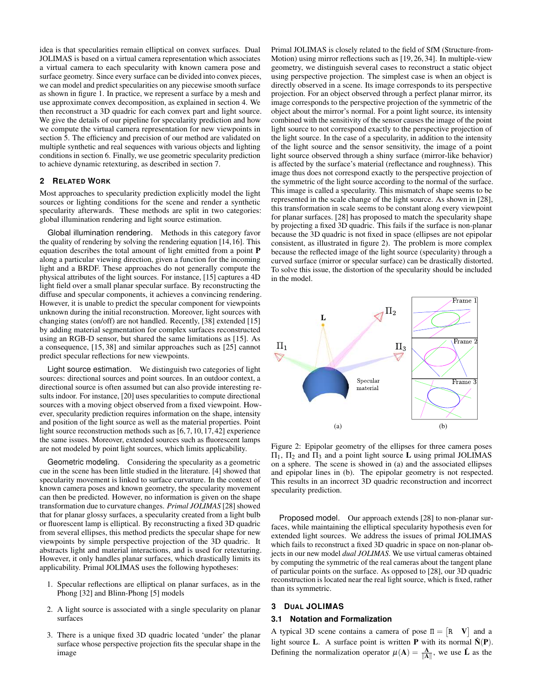idea is that specularities remain elliptical on convex surfaces. Dual JOLIMAS is based on a virtual camera representation which associates a virtual camera to each specularity with known camera pose and surface geometry. Since every surface can be divided into convex pieces, we can model and predict specularities on any piecewise smooth surface as shown in figure [1.](#page-0-0) In practice, we represent a surface by a mesh and use approximate convex decomposition, as explained in section [4.](#page-2-0) We then reconstruct a 3D quadric for each convex part and light source. We give the details of our pipeline for specularity prediction and how we compute the virtual camera representation for new viewpoints in section [5.](#page-3-0) The efficiency and precision of our method are validated on multiple synthetic and real sequences with various objects and lighting conditions in section [6.](#page-4-0) Finally, we use geometric specularity prediction to achieve dynamic retexturing, as described in section [7.](#page-5-0)

#### **2 RELATED WORK**

Most approaches to specularity prediction explicitly model the light sources or lighting conditions for the scene and render a synthetic specularity afterwards. These methods are split in two categories: global illumination rendering and light source estimation.

Global illumination rendering. Methods in this category favor the quality of rendering by solving the rendering equation [\[14,](#page-7-8)[16\]](#page-7-9). This equation describes the total amount of light emitted from a point P along a particular viewing direction, given a function for the incoming light and a BRDF. These approaches do not generally compute the physical attributes of the light sources. For instance, [\[15\]](#page-7-7) captures a 4D light field over a small planar specular surface. By reconstructing the diffuse and specular components, it achieves a convincing rendering. However, it is unable to predict the specular component for viewpoints unknown during the initial reconstruction. Moreover, light sources with changing states (on/off) are not handled. Recently, [\[38\]](#page-8-8) extended [\[15\]](#page-7-7) by adding material segmentation for complex surfaces reconstructed using an RGB-D sensor, but shared the same limitations as [\[15\]](#page-7-7). As a consequence, [\[15,](#page-7-7) [38\]](#page-8-8) and similar approaches such as [\[25\]](#page-8-11) cannot predict specular reflections for new viewpoints.

Light source estimation. We distinguish two categories of light sources: directional sources and point sources. In an outdoor context, a directional source is often assumed but can also provide interesting results indoor. For instance, [\[20\]](#page-8-12) uses specularities to compute directional sources with a moving object observed from a fixed viewpoint. However, specularity prediction requires information on the shape, intensity and position of the light source as well as the material properties. Point light source reconstruction methods such as [\[6,](#page-7-10) [7,](#page-7-11) [10,](#page-7-12) [17,](#page-7-13) [42\]](#page-8-13) experience the same issues. Moreover, extended sources such as fluorescent lamps are not modeled by point light sources, which limits applicability.

Geometric modeling. Considering the specularity as a geometric cue in the scene has been little studied in the literature. [\[4\]](#page-7-14) showed that specularity movement is linked to surface curvature. In the context of known camera poses and known geometry, the specularity movement can then be predicted. However, no information is given on the shape transformation due to curvature changes. *Primal JOLIMAS* [\[28\]](#page-8-9) showed that for planar glossy surfaces, a specularity created from a light bulb or fluorescent lamp is elliptical. By reconstructing a fixed 3D quadric from several ellipses, this method predicts the specular shape for new viewpoints by simple perspective projection of the 3D quadric. It abstracts light and material interactions, and is used for retexturing. However, it only handles planar surfaces, which drastically limits its applicability. Primal JOLIMAS uses the following hypotheses:

- 1. Specular reflections are elliptical on planar surfaces, as in the Phong [\[32\]](#page-8-14) and Blinn-Phong [\[5\]](#page-7-15) models
- 2. A light source is associated with a single specularity on planar surfaces
- 3. There is a unique fixed 3D quadric located 'under' the planar surface whose perspective projection fits the specular shape in the image

Primal JOLIMAS is closely related to the field of SfM (Structure-from-Motion) using mirror reflections such as [\[19,](#page-7-16) [26,](#page-8-15) [34\]](#page-8-16). In multiple-view geometry, we distinguish several cases to reconstruct a static object using perspective projection. The simplest case is when an object is directly observed in a scene. Its image corresponds to its perspective projection. For an object observed through a perfect planar mirror, its image corresponds to the perspective projection of the symmetric of the object about the mirror's normal. For a point light source, its intensity combined with the sensitivity of the sensor causes the image of the point light source to not correspond exactly to the perspective projection of the light source. In the case of a specularity, in addition to the intensity of the light source and the sensor sensitivity, the image of a point light source observed through a shiny surface (mirror-like behavior) is affected by the surface's material (reflectance and roughness). This image thus does not correspond exactly to the perspective projection of the symmetric of the light source according to the normal of the surface. This image is called a specularity. This mismatch of shape seems to be represented in the scale change of the light source. As shown in [\[28\]](#page-8-9), this transformation in scale seems to be constant along every viewpoint for planar surfaces. [\[28\]](#page-8-9) has proposed to match the specularity shape by projecting a fixed 3D quadric. This fails if the surface is non-planar because the 3D quadric is not fixed in space (ellipses are not epipolar consistent, as illustrated in figure [2\)](#page-1-2). The problem is more complex because the reflected image of the light source (specularity) through a curved surface (mirror or specular surface) can be drastically distorted. To solve this issue, the distortion of the specularity should be included in the model.

<span id="page-1-2"></span>

Figure 2: Epipolar geometry of the ellipses for three camera poses  $\Pi_1$ ,  $\Pi_2$  and  $\Pi_3$  and a point light source **L** using primal JOLIMAS on a sphere. The scene is showed in (a) and the associated ellipses and epipolar lines in (b). The epipolar geometry is not respected. This results in an incorrect 3D quadric reconstruction and incorrect specularity prediction.

<span id="page-1-0"></span>Proposed model. Our approach extends [\[28\]](#page-8-9) to non-planar surfaces, while maintaining the elliptical specularity hypothesis even for extended light sources. We address the issues of primal JOLIMAS which fails to reconstruct a fixed 3D quadric in space on non-planar objects in our new model *dual JOLIMAS*. We use virtual cameras obtained by computing the symmetric of the real cameras about the tangent plane of particular points on the surface. As opposed to [\[28\]](#page-8-9), our 3D quadric reconstruction is located near the real light source, which is fixed, rather than its symmetric.

# <span id="page-1-1"></span>**3 DUAL JOLIMAS**

#### **3.1 Notation and Formalization**

A typical 3D scene contains a camera of pose  $\Pi = \begin{bmatrix} R & V \end{bmatrix}$  and a light source L. A surface point is written **P** with its normal  $\hat{N}(\mathbf{P})$ . Defining the normalization operator  $\mu(A) = \frac{A}{\|A\|}$ , we use  $\hat{L}$  as the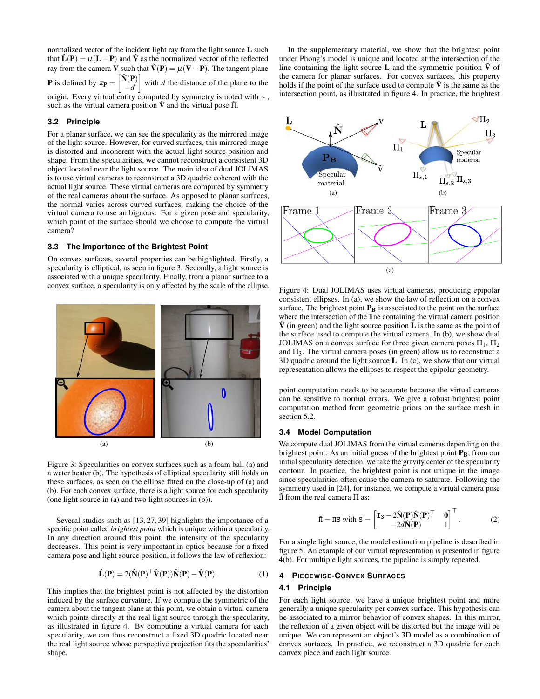normalized vector of the incident light ray from the light source L such that  $\hat{\mathbf{L}}(\mathbf{P}) = \mu(\mathbf{L} - \mathbf{P})$  and  $\hat{\mathbf{V}}$  as the normalized vector of the reflected ray from the camera V such that  $\hat{V}(P) = \mu(V - P)$ . The tangent plane **P** is defined by  $\pi_{\mathbf{P}} =$  $\left[\hat{\mathbf{N}}(\mathbf{P})\right]$ −*d* with *d* the distance of the plane to the origin. Every virtual entity computed by symmetry is noted with  $\sim$ ,

such as the virtual camera position  $\tilde{V}$  and the virtual pose  $\tilde{\Pi}$ .

## **3.2 Principle**

For a planar surface, we can see the specularity as the mirrored image of the light source. However, for curved surfaces, this mirrored image is distorted and incoherent with the actual light source position and shape. From the specularities, we cannot reconstruct a consistent 3D object located near the light source. The main idea of dual JOLIMAS is to use virtual cameras to reconstruct a 3D quadric coherent with the actual light source. These virtual cameras are computed by symmetry of the real cameras about the surface. As opposed to planar surfaces, the normal varies across curved surfaces, making the choice of the virtual camera to use ambiguous. For a given pose and specularity, which point of the surface should we choose to compute the virtual camera?

## **3.3 The Importance of the Brightest Point**

On convex surfaces, several properties can be highlighted. Firstly, a specularity is elliptical, as seen in figure [3.](#page-2-1) Secondly, a light source is associated with a unique specularity. Finally, from a planar surface to a convex surface, a specularity is only affected by the scale of the ellipse.

<span id="page-2-1"></span>

Figure 3: Specularities on convex surfaces such as a foam ball (a) and a water heater (b). The hypothesis of elliptical specularity still holds on these surfaces, as seen on the ellipse fitted on the close-up of (a) and (b). For each convex surface, there is a light source for each specularity (one light source in (a) and two light sources in (b)).

Several studies such as [\[13,](#page-7-4) [27,](#page-8-17) [39\]](#page-8-18) highlights the importance of a specific point called *brightest point* which is unique within a specularity. In any direction around this point, the intensity of the specularity decreases. This point is very important in optics because for a fixed camera pose and light source position, it follows the law of reflexion:

<span id="page-2-4"></span>
$$
\hat{\mathbf{L}}(\mathbf{P}) = 2(\hat{\mathbf{N}}(\mathbf{P})^{\top}\hat{\mathbf{V}}(\mathbf{P}))\hat{\mathbf{N}}(\mathbf{P}) - \hat{\mathbf{V}}(\mathbf{P}).
$$
\n(1)

This implies that the brightest point is not affected by the distortion induced by the surface curvature. If we compute the symmetric of the camera about the tangent plane at this point, we obtain a virtual camera which points directly at the real light source through the specularity, as illustrated in figure [4.](#page-2-2) By computing a virtual camera for each specularity, we can thus reconstruct a fixed 3D quadric located near the real light source whose perspective projection fits the specularities' shape.

In the supplementary material, we show that the brightest point under Phong's model is unique and located at the intersection of the line containing the light source **L** and the symmetric position  $\tilde{V}$  of the camera for planar surfaces. For convex surfaces, this property holds if the point of the surface used to compute  $\tilde{V}$  is the same as the intersection point, as illustrated in figure [4.](#page-2-2) In practice, the brightest

<span id="page-2-3"></span><span id="page-2-2"></span>

Figure 4: Dual JOLIMAS uses virtual cameras, producing epipolar consistent ellipses. In (a), we show the law of reflection on a convex surface. The brightest point  $P_B$  is associated to the point on the surface where the intersection of the line containing the virtual camera position  $\hat{V}$  (in green) and the light source position **L** is the same as the point of the surface used to compute the virtual camera. In (b), we show dual JOLIMAS on a convex surface for three given camera poses  $\Pi_1$ ,  $\Pi_2$ and  $\Pi_3$ . The virtual camera poses (in green) allow us to reconstruct a 3D quadric around the light source L. In (c), we show that our virtual representation allows the ellipses to respect the epipolar geometry.

point computation needs to be accurate because the virtual cameras can be sensitive to normal errors. We give a robust brightest point computation method from geometric priors on the surface mesh in section [5.2.](#page-3-1)

#### **3.4 Model Computation**

We compute dual JOLIMAS from the virtual cameras depending on the brightest point. As an initial guess of the brightest point  $P_B$ , from our initial specularity detection, we take the gravity center of the specularity contour. In practice, the brightest point is not unique in the image since specularities often cause the camera to saturate. Following the symmetry used in [\[24\]](#page-8-19), for instance, we compute a virtual camera pose  $\overline{II}$  from the real camera Π as:

$$
\tilde{\Pi} = \Pi S \text{ with } S = \begin{bmatrix} I_3 - 2\hat{\mathbf{N}}(\mathbf{P})\hat{\mathbf{N}}(\mathbf{P})^\top & \mathbf{0} \\ -2d\hat{\mathbf{N}}(\mathbf{P}) & 1 \end{bmatrix}^\top.
$$
 (2)

For a single light source, the model estimation pipeline is described in figure [5.](#page-3-2) An example of our virtual representation is presented in figure [4\(b\).](#page-2-3) For multiple light sources, the pipeline is simply repeated.

#### <span id="page-2-0"></span>**4 PIECEWISE-CONVEX SURFACES**

#### **4.1 Principle**

For each light source, we have a unique brightest point and more generally a unique specularity per convex surface. This hypothesis can be associated to a mirror behavior of convex shapes. In this mirror, the reflexion of a given object will be distorted but the image will be unique. We can represent an object's 3D model as a combination of convex surfaces. In practice, we reconstruct a 3D quadric for each convex piece and each light source.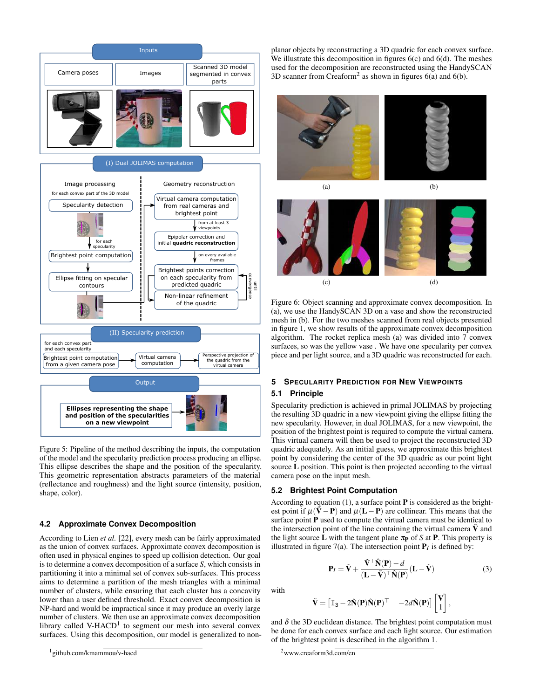<span id="page-3-2"></span>

Figure 5: Pipeline of the method describing the inputs, the computation of the model and the specularity prediction process producing an ellipse. This ellipse describes the shape and the position of the specularity. This geometric representation abstracts parameters of the material (reflectance and roughness) and the light source (intensity, position, shape, color).

### **4.2 Approximate Convex Decomposition**

According to Lien *et al.* [\[22\]](#page-8-20), every mesh can be fairly approximated as the union of convex surfaces. Approximate convex decomposition is often used in physical engines to speed up collision detection. Our goal is to determine a convex decomposition of a surface *S*, which consists in partitioning it into a minimal set of convex sub-surfaces. This process aims to determine a partition of the mesh triangles with a minimal number of clusters, while ensuring that each cluster has a concavity lower than a user defined threshold. Exact convex decomposition is NP-hard and would be impractical since it may produce an overly large number of clusters. We then use an approximate convex decomposition library called V-HACD<sup>[1](#page-3-3)</sup> to segment our mesh into several convex surfaces. Using this decomposition, our model is generalized to non-

planar objects by reconstructing a 3D quadric for each convex surface. We illustrate this decomposition in figures [6\(c\)](#page-3-4) and [6\(d\).](#page-3-5) The meshes used for the decomposition are reconstructed using the HandySCAN 3D scanner from Creaform<sup>[2](#page-3-6)</sup> as shown in figures  $6(a)$  and  $6(b)$ .

<span id="page-3-7"></span>

<span id="page-3-8"></span>

<span id="page-3-5"></span><span id="page-3-4"></span>Figure 6: Object scanning and approximate convex decomposition. In (a), we use the HandySCAN 3D on a vase and show the reconstructed mesh in (b). For the two meshes scanned from real objects presented in figure [1,](#page-0-0) we show results of the approximate convex decomposition algorithm. The rocket replica mesh (a) was divided into 7 convex surfaces, so was the yellow vase . We have one specularity per convex piece and per light source, and a 3D quadric was reconstructed for each.

# <span id="page-3-0"></span>**5 SPECULARITY PREDICTION FOR NEW VIEWPOINTS**

### **5.1 Principle**

Specularity prediction is achieved in primal JOLIMAS by projecting the resulting 3D quadric in a new viewpoint giving the ellipse fitting the new specularity. However, in dual JOLIMAS, for a new viewpoint, the position of the brightest point is required to compute the virtual camera. This virtual camera will then be used to project the reconstructed 3D quadric adequately. As an initial guess, we approximate this brightest point by considering the center of the 3D quadric as our point light source L position. This point is then projected according to the virtual camera pose on the input mesh.

### <span id="page-3-1"></span>**5.2 Brightest Point Computation**

According to equation [\(1\)](#page-2-4), a surface point  $P$  is considered as the brightest point if  $\mu(\tilde{\mathbf{V}} - \mathbf{P})$  and  $\mu(\mathbf{L} - \mathbf{P})$  are collinear. This means that the surface point  $P$  used to compute the virtual camera must be identical to the intersection point of the line containing the virtual camera  $\tilde{V}$  and the light source **L** with the tangent plane  $\pi_{\text{P}}$  of *S* at **P**. This property is illustrated in figure  $7(a)$ . The intersection point  $P_I$  is defined by:

$$
\mathbf{P}_{I} = \tilde{\mathbf{V}} + \frac{\tilde{\mathbf{V}}^{\top} \hat{\mathbf{N}}(\mathbf{P}) - d}{(\mathbf{L} - \tilde{\mathbf{V}})^{\top} \hat{\mathbf{N}}(\mathbf{P})} (\mathbf{L} - \tilde{\mathbf{V}})
$$
(3)

,

with

$$
\tilde{\mathbf{V}} = \begin{bmatrix} \mathbf{I}_3 - 2\hat{\mathbf{N}}(\mathbf{P})\hat{\mathbf{N}}(\mathbf{P})^\top & -2d\hat{\mathbf{N}}(\mathbf{P}) \end{bmatrix} \begin{bmatrix} \mathbf{V} \\ 1 \end{bmatrix}
$$

and  $\delta$  the 3D euclidean distance. The brightest point computation must be done for each convex surface and each light source. Our estimation of the brightest point is described in the algorithm [1.](#page-4-2)

<span id="page-3-3"></span><sup>&</sup>lt;sup>1</sup> github.com/kmammou/v-hacd

<span id="page-3-6"></span> $2$ www.creaform3d.com/en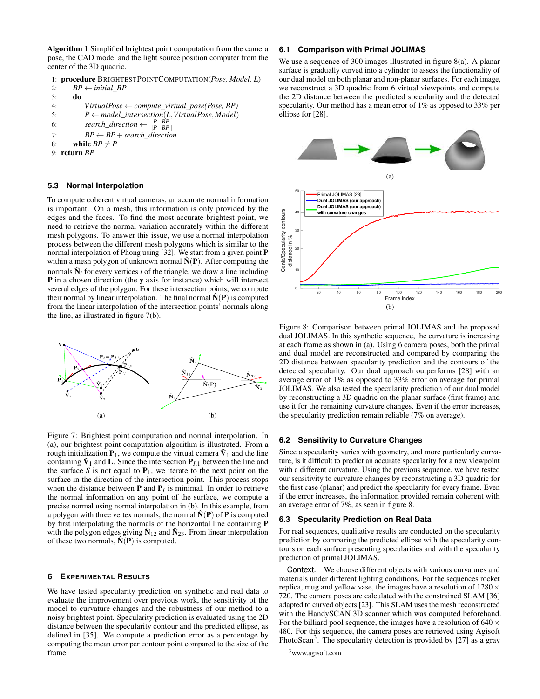<span id="page-4-2"></span>Algorithm 1 Simplified brightest point computation from the camera pose, the CAD model and the light source position computer from the center of the 3D quadric.

|    | 1: procedure BRIGHTESTPOINTCOMPUTATION(Pose, Model, L)     |
|----|------------------------------------------------------------|
| 2: | $BP \leftarrow initial BP$                                 |
| 3: | do                                                         |
| 4: | $Virtual Pose \leftarrow compute\_virtual\_pose(Pose, BP)$ |
| 5: | $P \leftarrow model\_intersection(L,VirtualPose, Model)$   |
| 6: | search_direction $\leftarrow \frac{P-BP}{  P-BP  }$        |
| 7: | $BP \leftarrow BP + search$ direction                      |
| 8: | while $BP \neq P$                                          |
|    | 9: return $BP$                                             |

## **5.3 Normal Interpolation**

To compute coherent virtual cameras, an accurate normal information is important. On a mesh, this information is only provided by the edges and the faces. To find the most accurate brightest point, we need to retrieve the normal variation accurately within the different mesh polygons. To answer this issue, we use a normal interpolation process between the different mesh polygons which is similar to the normal interpolation of Phong using [\[32\]](#page-8-14). We start from a given point P within a mesh polygon of unknown normal  $\hat{N}(P)$ . After computing the normals  $\hat{N}_i$  for every vertices *i* of the triangle, we draw a line including P in a chosen direction (the y axis for instance) which will intersect several edges of the polygon. For these intersection points, we compute their normal by linear interpolation. The final normal  $\hat{N}(P)$  is computed from the linear interpolation of the intersection points' normals along the line, as illustrated in figure [7\(b\).](#page-4-3)

<span id="page-4-1"></span>

<span id="page-4-3"></span>Figure 7: Brightest point computation and normal interpolation. In (a), our brightest point computation algorithm is illustrated. From a rough initialization  $P_1$ , we compute the virtual camera  $\tilde{V}_1$  and the line containing  $\tilde{V}_1$  and **L**. Since the intersection  $P_{I,1}$  between the line and the surface *S* is not equal to  $P_1$ , we iterate to the next point on the surface in the direction of the intersection point. This process stops when the distance between  $P$  and  $P_I$  is minimal. In order to retrieve the normal information on any point of the surface, we compute a precise normal using normal interpolation in (b). In this example, from a polygon with three vertex normals, the normal  $\hat{N}(P)$  of P is computed by first interpolating the normals of the horizontal line containing P with the polygon edges giving  $\hat{N}_{12}$  and  $\hat{N}_{23}$ . From linear interpolation of these two normals,  $\hat{N}(P)$  is computed.

## <span id="page-4-0"></span>**6 EXPERIMENTAL RESULTS**

We have tested specularity prediction on synthetic and real data to evaluate the improvement over previous work, the sensitivity of the model to curvature changes and the robustness of our method to a noisy brightest point. Specularity prediction is evaluated using the 2D distance between the specularity contour and the predicted ellipse, as defined in [\[35\]](#page-8-21). We compute a prediction error as a percentage by computing the mean error per contour point compared to the size of the frame.

# **6.1 Comparison with Primal JOLIMAS**

We use a sequence of 300 images illustrated in figure [8\(a\).](#page-4-4) A planar surface is gradually curved into a cylinder to assess the functionality of our dual model on both planar and non-planar surfaces. For each image, we reconstruct a 3D quadric from 6 virtual viewpoints and compute the 2D distance between the predicted specularity and the detected specularity. Our method has a mean error of 1% as opposed to 33% per ellipse for [\[28\]](#page-8-9).

<span id="page-4-5"></span><span id="page-4-4"></span>

Figure 8: Comparison between primal JOLIMAS and the proposed dual JOLIMAS. In this synthetic sequence, the curvature is increasing at each frame as shown in (a). Using 6 camera poses, both the primal and dual model are reconstructed and compared by comparing the 2D distance between specularity prediction and the contours of the detected specularity. Our dual approach outperforms [\[28\]](#page-8-9) with an average error of 1% as opposed to 33% error on average for primal JOLIMAS. We also tested the specularity prediction of our dual model by reconstructing a 3D quadric on the planar surface (first frame) and use it for the remaining curvature changes. Even if the error increases, the specularity prediction remain reliable (7% on average).

## **6.2 Sensitivity to Curvature Changes**

Since a specularity varies with geometry, and more particularly curvature, is it difficult to predict an accurate specularity for a new viewpoint with a different curvature. Using the previous sequence, we have tested our sensitivity to curvature changes by reconstructing a 3D quadric for the first case (planar) and predict the specularity for every frame. Even if the error increases, the information provided remain coherent with an average error of 7%, as seen in figure [8.](#page-4-5)

# **6.3 Specularity Prediction on Real Data**

For real sequences, qualitative results are conducted on the specularity prediction by comparing the predicted ellipse with the specularity contours on each surface presenting specularities and with the specularity prediction of primal JOLIMAS.

Context. We choose different objects with various curvatures and materials under different lighting conditions. For the sequences rocket replica, mug and yellow vase, the images have a resolution of  $1280 \times$ 720. The camera poses are calculated with the constrained SLAM [\[36\]](#page-8-22) adapted to curved objects [\[23\]](#page-8-23). This SLAM uses the mesh reconstructed with the HandySCAN 3D scanner which was computed beforehand. For the billiard pool sequence, the images have a resolution of  $640 \times$ 480. For this sequence, the camera poses are retrieved using Agisoft PhotoScan<sup>[3](#page-4-6)</sup>. The specularity detection is provided by [\[27\]](#page-8-17) as a gray

<span id="page-4-6"></span><sup>3</sup>www.agisoft.com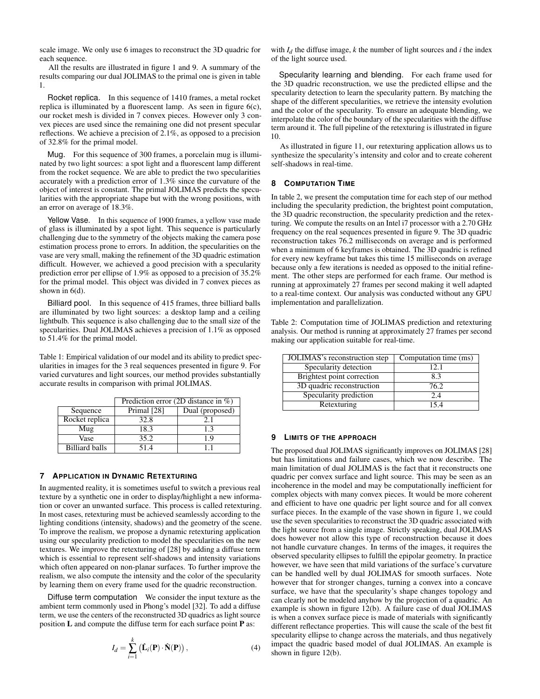scale image. We only use 6 images to reconstruct the 3D quadric for each sequence.

All the results are illustrated in figure [1](#page-0-0) and [9.](#page-6-0) A summary of the results comparing our dual JOLIMAS to the primal one is given in table [1.](#page-5-1)

Rocket replica. In this sequence of 1410 frames, a metal rocket replica is illuminated by a fluorescent lamp. As seen in figure [6\(c\),](#page-3-4) our rocket mesh is divided in 7 convex pieces. However only 3 convex pieces are used since the remaining one did not present specular reflections. We achieve a precision of 2.1%, as opposed to a precision of 32.8% for the primal model.

Mug. For this sequence of 300 frames, a porcelain mug is illuminated by two light sources: a spot light and a fluorescent lamp different from the rocket sequence. We are able to predict the two specularities accurately with a prediction error of 1.3% since the curvature of the object of interest is constant. The primal JOLIMAS predicts the specularities with the appropriate shape but with the wrong positions, with an error on average of 18.3%.

Yellow Vase. In this sequence of 1900 frames, a yellow vase made of glass is illuminated by a spot light. This sequence is particularly challenging due to the symmetry of the objects making the camera pose estimation process prone to errors. In addition, the specularities on the vase are very small, making the refinement of the 3D quadric estimation difficult. However, we achieved a good precision with a specularity prediction error per ellipse of 1.9% as opposed to a precision of 35.2% for the primal model. This object was divided in 7 convex pieces as shown in [6\(d\).](#page-3-5)

Billiard pool. In this sequence of 415 frames, three billiard balls are illuminated by two light sources: a desktop lamp and a ceiling lightbulb. This sequence is also challenging due to the small size of the specularities. Dual JOLIMAS achieves a precision of 1.1% as opposed to 51.4% for the primal model.

<span id="page-5-1"></span>Table 1: Empirical validation of our model and its ability to predict specularities in images for the 3 real sequences presented in figure [9.](#page-6-0) For varied curvatures and light sources, our method provides substantially accurate results in comparison with primal JOLIMAS.

|                       | Prediction error (2D distance in $\%$ ) |                 |
|-----------------------|-----------------------------------------|-----------------|
| Sequence              | Primal [28]                             | Dual (proposed) |
| Rocket replica        | 32.8                                    | 21              |
| Mug                   | 18.3                                    | 13              |
| Vase                  | 35.2                                    | 1.9             |
| <b>Billiard balls</b> | 51.4                                    |                 |

## <span id="page-5-0"></span>**7 APPLICATION IN DYNAMIC RETEXTURING**

In augmented reality, it is sometimes useful to switch a previous real texture by a synthetic one in order to display/highlight a new information or cover an unwanted surface. This process is called retexturing. In most cases, retexturing must be achieved seamlessly according to the lighting conditions (intensity, shadows) and the geometry of the scene. To improve the realism, we propose a dynamic retexturing application using our specularity prediction to model the specularities on the new textures. We improve the retexturing of [\[28\]](#page-8-9) by adding a diffuse term which is essential to represent self-shadows and intensity variations which often appeared on non-planar surfaces. To further improve the realism, we also compute the intensity and the color of the specularity by learning them on every frame used for the quadric reconstruction.

Diffuse term computation We consider the input texture as the ambient term commonly used in Phong's model [\[32\]](#page-8-14). To add a diffuse term, we use the centers of the reconstructed 3D quadrics as light source position  $L$  and compute the diffuse term for each surface point  $P$  as:

$$
I_d = \sum_{i=1}^{k} (\hat{\mathbf{L}}_i(\mathbf{P}) \cdot \hat{\mathbf{N}}(\mathbf{P})),
$$
\n(4)

with  $I_d$  the diffuse image,  $k$  the number of light sources and  $i$  the index of the light source used.

Specularity learning and blending. For each frame used for the 3D quadric reconstruction, we use the predicted ellipse and the specularity detection to learn the specularity pattern. By matching the shape of the different specularities, we retrieve the intensity evolution and the color of the specularity. To ensure an adequate blending, we interpolate the color of the boundary of the specularities with the diffuse term around it. The full pipeline of the retexturing is illustrated in figure [10.](#page-6-1)

As illustrated in figure [11,](#page-7-17) our retexturing application allows us to synthesize the specularity's intensity and color and to create coherent self-shadows in real-time.

#### **8 COMPUTATION TIME**

In table [2,](#page-5-2) we present the computation time for each step of our method including the specularity prediction, the brightest point computation, the 3D quadric reconstruction, the specularity prediction and the retexturing. We compute the results on an Intel i7 processor with a 2.70 GHz frequency on the real sequences presented in figure [9.](#page-6-0) The 3D quadric reconstruction takes 76.2 milliseconds on average and is performed when a minimum of 6 keyframes is obtained. The 3D quadric is refined for every new keyframe but takes this time 15 milliseconds on average because only a few iterations is needed as opposed to the initial refinement. The other steps are performed for each frame. Our method is running at approximately 27 frames per second making it well adapted to a real-time context. Our analysis was conducted without any GPU implementation and parallelization.

<span id="page-5-2"></span>Table 2: Computation time of JOLIMAS prediction and retexturing analysis. Our method is running at approximately 27 frames per second making our application suitable for real-time.

| JOLIMAS's reconstruction step     | Computation time (ms) |
|-----------------------------------|-----------------------|
| Specularity detection             | 12.1                  |
| <b>Brightest point correction</b> | 8.3                   |
| 3D quadric reconstruction         | 76.2                  |
| Specularity prediction            | 2.4                   |
| Retexturing                       | 154                   |

#### **9 LIMITS OF THE APPROACH**

The proposed dual JOLIMAS significantly improves on JOLIMAS [\[28\]](#page-8-9) but has limitations and failure cases, which we now describe. The main limitation of dual JOLIMAS is the fact that it reconstructs one quadric per convex surface and light source. This may be seen as an incoherence in the model and may be computationally inefficient for complex objects with many convex pieces. It would be more coherent and efficient to have one quadric per light source and for all convex surface pieces. In the example of the vase shown in figure 1, we could use the seven specularities to reconstruct the 3D quadric associated with the light source from a single image. Strictly speaking, dual JOLIMAS does however not allow this type of reconstruction because it does not handle curvature changes. In terms of the images, it requires the observed specularity ellipses to fulfill the epipolar geometry. In practice however, we have seen that mild variations of the surface's curvature can be handled well by dual JOLIMAS for smooth surfaces. Note however that for stronger changes, turning a convex into a concave surface, we have that the specularity's shape changes topology and can clearly not be modeled anyhow by the projection of a quadric. An example is shown in figure [12\(b\).](#page-7-18) A failure case of dual JOLIMAS is when a convex surface piece is made of materials with significantly different reflectance properties. This will cause the scale of the best fit specularity ellipse to change across the materials, and thus negatively impact the quadric based model of dual JOLIMAS. An example is shown in figure [12\(b\).](#page-7-18)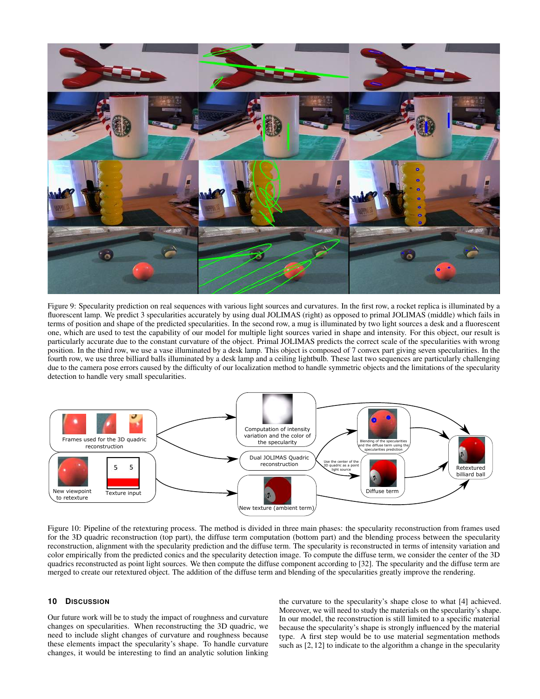<span id="page-6-0"></span>

Figure 9: Specularity prediction on real sequences with various light sources and curvatures. In the first row, a rocket replica is illuminated by a fluorescent lamp. We predict 3 specularities accurately by using dual JOLIMAS (right) as opposed to primal JOLIMAS (middle) which fails in terms of position and shape of the predicted specularities. In the second row, a mug is illuminated by two light sources a desk and a fluorescent one, which are used to test the capability of our model for multiple light sources varied in shape and intensity. For this object, our result is particularly accurate due to the constant curvature of the object. Primal JOLIMAS predicts the correct scale of the specularities with wrong position. In the third row, we use a vase illuminated by a desk lamp. This object is composed of 7 convex part giving seven specularities. In the fourth row, we use three billiard balls illuminated by a desk lamp and a ceiling lightbulb. These last two sequences are particularly challenging due to the camera pose errors caused by the difficulty of our localization method to handle symmetric objects and the limitations of the specularity detection to handle very small specularities.

<span id="page-6-1"></span>

Figure 10: Pipeline of the retexturing process. The method is divided in three main phases: the specularity reconstruction from frames used for the 3D quadric reconstruction (top part), the diffuse term computation (bottom part) and the blending process between the specularity reconstruction, alignment with the specularity prediction and the diffuse term. The specularity is reconstructed in terms of intensity variation and color empirically from the predicted conics and the specularity detection image. To compute the diffuse term, we consider the center of the 3D quadrics reconstructed as point light sources. We then compute the diffuse component according to [\[32\]](#page-8-14). The specularity and the diffuse term are merged to create our retextured object. The addition of the diffuse term and blending of the specularities greatly improve the rendering.

### **10 DISCUSSION**

Our future work will be to study the impact of roughness and curvature changes on specularities. When reconstructing the 3D quadric, we need to include slight changes of curvature and roughness because these elements impact the specularity's shape. To handle curvature changes, it would be interesting to find an analytic solution linking the curvature to the specularity's shape close to what [\[4\]](#page-7-14) achieved. Moreover, we will need to study the materials on the specularity's shape. In our model, the reconstruction is still limited to a specific material because the specularity's shape is strongly influenced by the material type. A first step would be to use material segmentation methods such as [\[2,](#page-7-19) [12\]](#page-7-20) to indicate to the algorithm a change in the specularity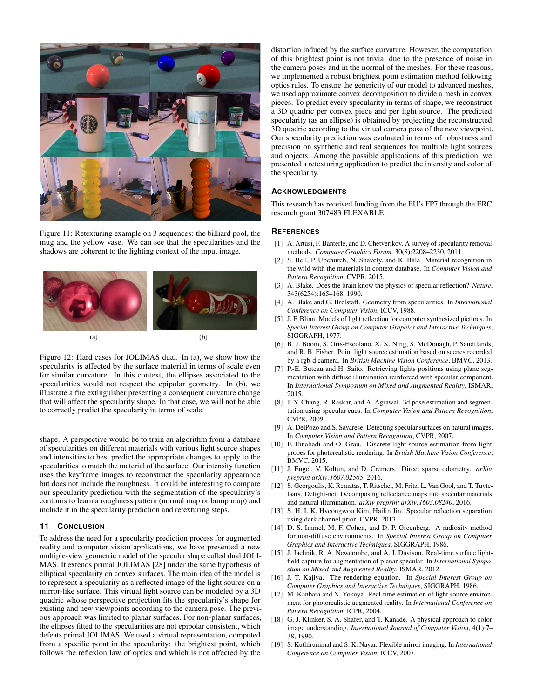<span id="page-7-17"></span>

Figure 11: Retexturing example on 3 sequences: the billiard pool, the mug and the yellow vase. We can see that the specularities and the shadows are coherent to the lighting context of the input image.



<span id="page-7-18"></span>Figure 12: Hard cases for JOLIMAS dual. In (a), we show how the specularity is affected by the surface material in terms of scale even for similar curvature. In this context, the ellipses associated to the specularities would not respect the epipolar geometry. In (b), we illustrate a fire extinguisher presenting a consequent curvature change that will affect the specularity shape. In that case, we will not be able to correctly predict the specularity in terms of scale.

shape. A perspective would be to train an algorithm from a database of specularities on different materials with various light source shapes and intensities to best predict the appropriate changes to apply to the specularities to match the material of the surface. Our intensity function uses the keyframe images to reconstruct the specularity appearance but does not include the roughness. It could be interesting to compare our specularity prediction with the segmentation of the specularity's contours to learn a roughness pattern (normal map or bump map) and include it in the specularity prediction and retexturing steps.

#### **11 CONCLUSION**

To address the need for a specularity prediction process for augmented reality and computer vision applications, we have presented a new multiple-view geometric model of the specular shape called dual JOLI-MAS. It extends primal JOLIMAS [\[28\]](#page-8-9) under the same hypothesis of elliptical specularity on convex surfaces. The main idea of the model is to represent a specularity as a reflected image of the light source on a mirror-like surface. This virtual light source can be modeled by a 3D quadric whose perspective projection fits the specularity's shape for existing and new viewpoints according to the camera pose. The previous approach was limited to planar surfaces. For non-planar surfaces, the ellipses fitted to the specularities are not epipolar consistent, which defeats primal JOLIMAS. We used a virtual representation, computed from a specific point in the specularity: the brightest point, which follows the reflexion law of optics and which is not affected by the

distortion induced by the surface curvature. However, the computation of this brightest point is not trivial due to the presence of noise in the camera poses and in the normal of the meshes. For these reasons, we implemented a robust brightest point estimation method following optics rules. To ensure the genericity of our model to advanced meshes, we used approximate convex decomposition to divide a mesh in convex pieces. To predict every specularity in terms of shape, we reconstruct a 3D quadric per convex piece and per light source. The predicted specularity (as an ellipse) is obtained by projecting the reconstructed 3D quadric according to the virtual camera pose of the new viewpoint. Our specularity prediction was evaluated in terms of robustness and precision on synthetic and real sequences for multiple light sources and objects. Among the possible applications of this prediction, we presented a retexturing application to predict the intensity and color of the specularity.

#### **ACKNOWLEDGMENTS**

This research has received funding from the EU's FP7 through the ERC research grant 307483 FLEXABLE.

## **REFERENCES**

- <span id="page-7-2"></span>[1] A. Artusi, F. Banterle, and D. Chetverikov. A survey of specularity removal methods. *Computer Graphics Forum*, 30(8):2208–2230, 2011.
- <span id="page-7-19"></span>[2] S. Bell, P. Upchurch, N. Snavely, and K. Bala. Material recognition in the wild with the materials in context database. In *Computer Vision and Pattern Recognition*, CVPR, 2015.
- <span id="page-7-1"></span>[3] A. Blake. Does the brain know the physics of specular reflection? *Nature*, 343(6254):165–168, 1990.
- <span id="page-7-14"></span>[4] A. Blake and G. Brelstaff. Geometry from specularities. In *International Conference on Computer Vision*, ICCV, 1988.
- <span id="page-7-15"></span>[5] J. F. Blinn. Models of light reflection for computer synthesized pictures. In *Special Interest Group on Computer Graphics and Interactive Techniques*, SIGGRAPH, 1977.
- <span id="page-7-10"></span>[6] B. J. Boom, S. Orts-Escolano, X. X. Ning, S. McDonagh, P. Sandilands, and R. B. Fisher. Point light source estimation based on scenes recorded by a rgb-d camera. In *British Machine Vision Conference*, BMVC, 2013.
- <span id="page-7-11"></span>[7] P.-E. Buteau and H. Saito. Retrieving lights positions using plane segmentation with diffuse illumination reinforced with specular component. In *International Symposium on Mixed and Augmented Reality*, ISMAR, 2015.
- <span id="page-7-6"></span>[8] J. Y. Chang, R. Raskar, and A. Agrawal. 3d pose estimation and segmentation using specular cues. In *Computer Vision and Pattern Recognition*, CVPR, 2009.
- <span id="page-7-3"></span>[9] A. DelPozo and S. Savarese. Detecting specular surfaces on natural images. In *Computer Vision and Pattern Recognition*, CVPR, 2007.
- <span id="page-7-12"></span>[10] F. Einabadi and O. Grau. Discrete light source estimation from light probes for photorealistic rendering. In *British Machine Vision Conference*, BMVC, 2015.
- <span id="page-7-0"></span>[11] J. Engel, V. Koltun, and D. Cremers. Direct sparse odometry. *arXiv preprint arXiv:1607.02565*, 2016.
- <span id="page-7-20"></span>[12] S. Georgoulis, K. Rematas, T. Ritschel, M. Fritz, L. Van Gool, and T. Tuytelaars. Delight-net: Decomposing reflectance maps into specular materials and natural illumination. *arXiv preprint arXiv:1603.08240*, 2016.
- <span id="page-7-4"></span>[13] S. H. I. K. Hyeongwoo Kim, Hailin Jin. Specular reflection separation using dark channel prior. CVPR, 2013.
- <span id="page-7-8"></span>[14] D. S. Immel, M. F. Cohen, and D. P. Greenberg. A radiosity method for non-diffuse environments. In *Special Interest Group on Computer Graphics and Interactive Techniques*, SIGGRAPH, 1986.
- <span id="page-7-7"></span>[15] J. Jachnik, R. A. Newcombe, and A. J. Davison. Real-time surface lightfield capture for augmentation of planar specular. In *International Symposium on Mixed and Augmented Reality*, ISMAR, 2012.
- <span id="page-7-9"></span>[16] J. T. Kajiya. The rendering equation. In *Special Interest Group on Computer Graphics and Interactive Techniques*, SIGGRAPH, 1986.
- <span id="page-7-13"></span>[17] M. Kanbara and N. Yokoya. Real-time estimation of light source environment for photorealistic augmented reality. In *International Conference on Pattern Recognition*, ICPR, 2004.
- <span id="page-7-5"></span>[18] G. J. Klinker, S. A. Shafer, and T. Kanade. A physical approach to color image understanding. *International Journal of Computer Vision*, 4(1):7– 38, 1990.
- <span id="page-7-16"></span>[19] S. Kuthirummal and S. K. Nayar. Flexible mirror imaging. In *International Conference on Computer Vision*, ICCV, 2007.